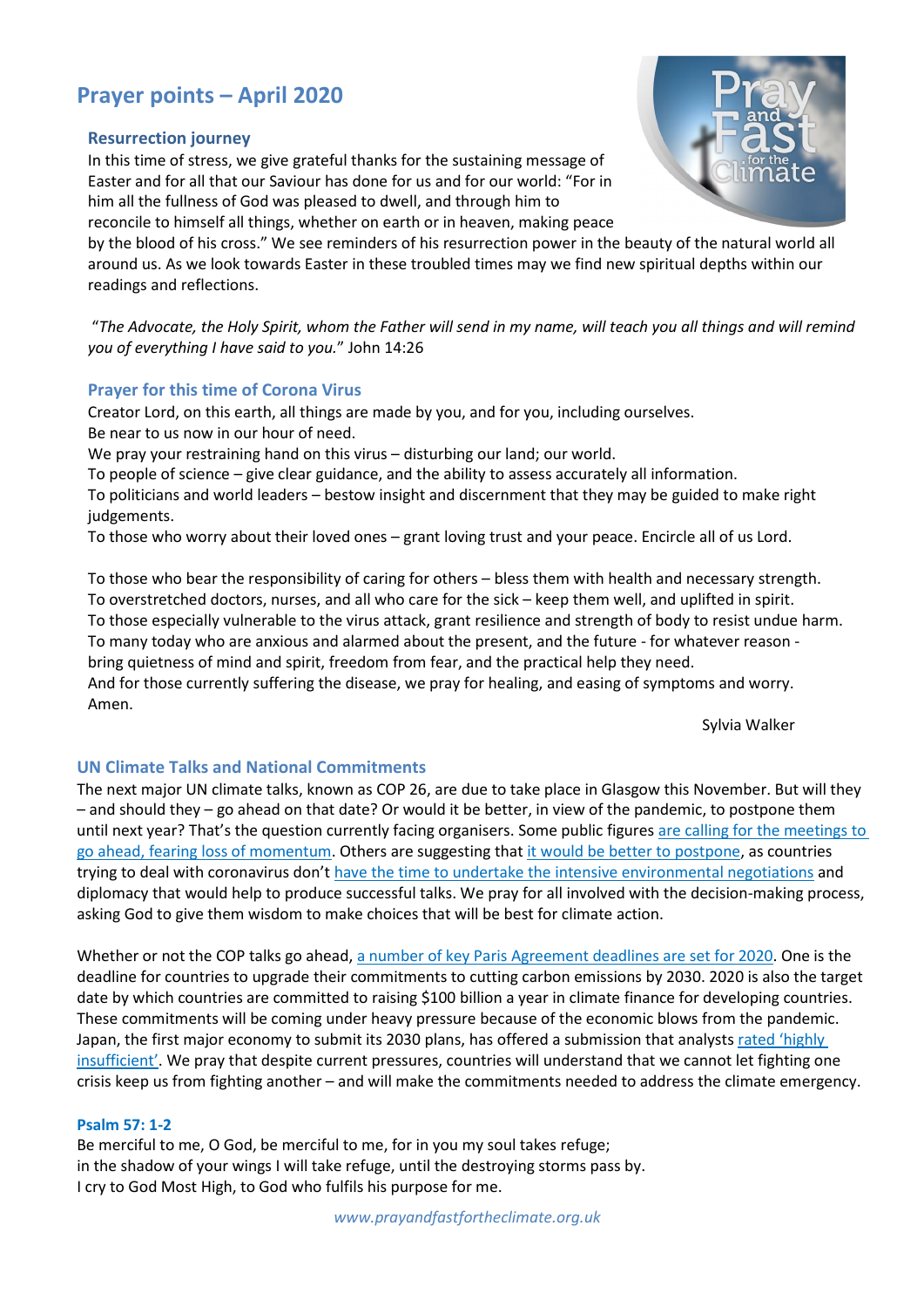# **Prayer points – April 2020**

#### **Resurrection journey**

In this time of stress, we give grateful thanks for the sustaining message of Easter and for all that our Saviour has done for us and for our world: "For in him all the fullness of God was pleased to dwell, and through him to



reconcile to himself all things, whether on earth or in heaven, making peace by the blood of his cross." We see reminders of his resurrection power in the beauty of the natural world all around us. As we look towards Easter in these troubled times may we find new spiritual depths within our readings and reflections.

"*The Advocate, the Holy Spirit, whom the Father will send in my name, will teach you all things and will remind you of everything I have said to you.*" John 14:26

## **Prayer for this time of Corona Virus**

Creator Lord, on this earth, all things are made by you, and for you, including ourselves. Be near to us now in our hour of need.

We pray your restraining hand on this virus - disturbing our land; our world.

To people of science – give clear guidance, and the ability to assess accurately all information.

To politicians and world leaders – bestow insight and discernment that they may be guided to make right judgements.

To those who worry about their loved ones – grant loving trust and your peace. Encircle all of us Lord.

To those who bear the responsibility of caring for others – bless them with health and necessary strength. To overstretched doctors, nurses, and all who care for the sick – keep them well, and uplifted in spirit. To those especially vulnerable to the virus attack, grant resilience and strength of body to resist undue harm. To many today who are anxious and alarmed about the present, and the future - for whatever reason bring quietness of mind and spirit, freedom from fear, and the practical help they need. And for those currently suffering the disease, we pray for healing, and easing of symptoms and worry. Amen.

Sylvia Walker

## **UN Climate Talks and National Commitments**

The next major UN climate talks, known as COP 26, are due to take place in Glasgow this November. But will they – and should they – go ahead on that date? Or would it be better, in view of the pandemic, to postpone them until next year? That's the question currently facing organisers. Some public figures [are calling for the meetings to](https://bit.ly/33Z786e)  [go ahead, fearing loss of momentum.](https://bit.ly/33Z786e) Others are suggesting tha[t it would be better to postpone,](https://bit.ly/39tdAUh) [as countries](https://on.ft.com/3avru9K)  [trying to deal with coronavirus don't have the time](https://on.ft.com/3avru9K) to undertake the intensive environmental negotiations and [diplomacy](https://on.ft.com/3avru9K) that would help to produce successful talks. We pray for all involved with the decision-making process, asking God to give them wisdom to make choices that will be best for climate action.

Whether or not the COP talks go ahead, [a number of key Paris Agreement deadlines are set for 2020.](https://bit.ly/39tdAUh) One is the deadline for countries to upgrade their commitments to cutting carbon emissions by 2030. 2020 is also the target date by which countries are committed to raising \$100 billion a year in climate finance for developing countries. These commitments will be coming under heavy pressure because of the economic blows from the pandemic. Japan, the first major economy to submit its 2030 plans, [has offered a](https://www.theguardian.com/environment/2020/mar/30/campaigners-attack-japan-shameful-climate-plans-release) submission that analyst[s rated 'highly](https://bit.ly/2xyyvbs)  [insufficient'.](https://bit.ly/2xyyvbs) We pray that despite current pressures, countries will understand that we cannot let fighting one crisis keep us from fighting another – and will make the commitments needed to address the climate emergency.

#### **Psalm 57: 1-2**

Be merciful to me, O God, be merciful to me, for in you my soul takes refuge; in the shadow of your wings I will take refuge, until the destroying storms pass by. I cry to God Most High, to God who fulfils his purpose for me.